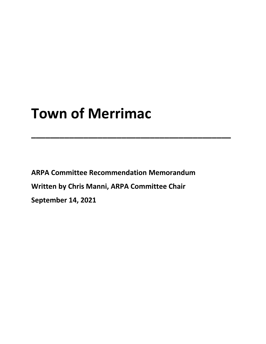# **Town of Merrimac**

**ARPA Committee Recommendation Memorandum Written by Chris Manni, ARPA Committee Chair September 14, 2021**

**\_\_\_\_\_\_\_\_\_\_\_\_\_\_\_\_\_\_\_\_\_\_\_\_\_\_\_\_\_\_\_\_\_\_\_\_\_\_\_\_\_\_**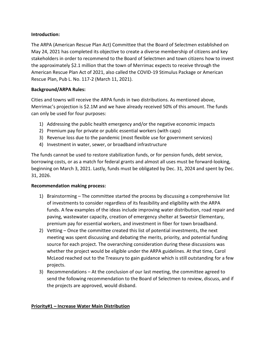### **Introduction:**

The ARPA (American Rescue Plan Act) Committee that the Board of Selectmen established on May 24, 2021 has completed its objective to create a diverse membership of citizens and key stakeholders in order to recommend to the Board of Selectmen and town citizens how to invest the approximately \$2.1 million that the town of Merrimac expects to receive through the American Rescue Plan Act of 2021, also called the COVID-19 Stimulus Package or American Rescue Plan, Pub L. No. 117-2 (March 11, 2021).

## **Background/ARPA Rules:**

Cities and towns will receive the ARPA funds in two distributions. As mentioned above, Merrimac's projection is \$2.1M and we have already received 50% of this amount. The funds can only be used for four purposes:

- 1) Addressing the public health emergency and/or the negative economic impacts
- 2) Premium pay for private or public essential workers (with caps)
- 3) Revenue loss due to the pandemic (most flexible use for government services)
- 4) Investment in water, sewer, or broadband infrastructure

The funds cannot be used to restore stabilization funds, or for pension funds, debt service, borrowing costs, or as a match for federal grants and almost all uses must be forward-looking, beginning on March 3, 2021. Lastly, funds must be obligated by Dec. 31, 2024 and spent by Dec. 31, 2026.

### **Recommendation making process:**

- 1) Brainstorming The committee started the process by discussing a comprehensive list of investments to consider regardless of its feasibility and eligibility with the ARPA funds. A few examples of the ideas include improving water distribution, road repair and paving, wastewater capacity, creation of emergency shelter at Sweetsir Elementary, premium pay for essential workers, and investment in fiber for town broadband.
- 2) Vetting Once the committee created this list of potential investments, the next meeting was spent discussing and debating the merits, priority, and potential funding source for each project. The overarching consideration during these discussions was whether the project would be eligible under the ARPA guidelines. At that time, Carol McLeod reached out to the Treasury to gain guidance which is still outstanding for a few projects.
- 3) Recommendations At the conclusion of our last meeting, the committee agreed to send the following recommendation to the Board of Selectmen to review, discuss, and if the projects are approved, would disband.

### **Priority#1 – Increase Water Main Distribution**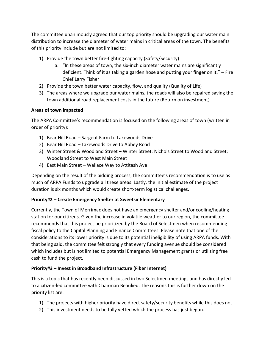The committee unanimously agreed that our top priority should be upgrading our water main distribution to increase the diameter of water mains in critical areas of the town. The benefits of this priority include but are not limited to:

- 1) Provide the town better fire-fighting capacity (Safety/Security)
	- a. "In these areas of town, the six-inch diameter water mains are significantly deficient. Think of it as taking a garden hose and putting your finger on it." – Fire Chief Larry Fisher
- 2) Provide the town better water capacity, flow, and quality (Quality of Life)
- 3) The areas where we upgrade our water mains, the roads will also be repaired saving the town additional road replacement costs in the future (Return on investment)

### **Areas of town impacted**

The ARPA Committee's recommendation is focused on the following areas of town (written in order of priority):

- 1) Bear Hill Road Sargent Farm to Lakewoods Drive
- 2) Bear Hill Road Lakewoods Drive to Abbey Road
- 3) Winter Street & Woodland Street Winter Street: Nichols Street to Woodland Street; Woodland Street to West Main Street
- 4) East Main Street Wallace Way to Attitash Ave

Depending on the result of the bidding process, the committee's recommendation is to use as much of ARPA Funds to upgrade all these areas. Lastly, the initial estimate of the project duration is six months which would create short-term logistical challenges.

### **Priority#2 – Create Emergency Shelter at Sweetsir Elementary**

Currently, the Town of Merrimac does not have an emergency shelter and/or cooling/heating station for our citizens. Given the increase in volatile weather to our region, the committee recommends that this project be prioritized by the Board of Selectmen when recommending fiscal policy to the Capital Planning and Finance Committees. Please note that one of the considerations to its lower priority is due to its potential ineligibility of using ARPA funds. With that being said, the committee felt strongly that every funding avenue should be considered which includes but is not limited to potential Emergency Management grants or utilizing free cash to fund the project.

### **Priority#3 – Invest in Broadband Infrastructure (Fiber Internet)**

This is a topic that has recently been discussed in two Selectmen meetings and has directly led to a citizen-led committee with Chairman Beaulieu. The reasons this is further down on the priority list are:

- 1) The projects with higher priority have direct safety/security benefits while this does not.
- 2) This investment needs to be fully vetted which the process has just begun.